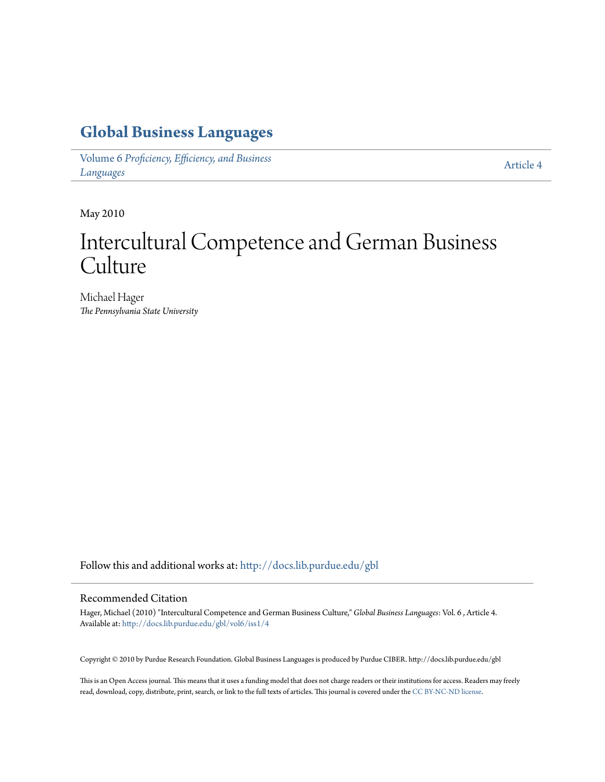## **[Global Business Languages](http://docs.lib.purdue.edu/gbl?utm_source=docs.lib.purdue.edu%2Fgbl%2Fvol6%2Fiss1%2F4&utm_medium=PDF&utm_campaign=PDFCoverPages)**

Volume 6 *[Proficiency, Efficiency, and Business](http://docs.lib.purdue.edu/gbl/vol6?utm_source=docs.lib.purdue.edu%2Fgbl%2Fvol6%2Fiss1%2F4&utm_medium=PDF&utm_campaign=PDFCoverPages) [Languages](http://docs.lib.purdue.edu/gbl/vol6?utm_source=docs.lib.purdue.edu%2Fgbl%2Fvol6%2Fiss1%2F4&utm_medium=PDF&utm_campaign=PDFCoverPages)*

[Article 4](http://docs.lib.purdue.edu/gbl/vol6/iss1/4?utm_source=docs.lib.purdue.edu%2Fgbl%2Fvol6%2Fiss1%2F4&utm_medium=PDF&utm_campaign=PDFCoverPages)

May 2010

# Intercultural Competence and German Business Culture

Michael Hager *The Pennsylvania State University*

Follow this and additional works at: [http://docs.lib.purdue.edu/gbl](http://docs.lib.purdue.edu/gbl?utm_source=docs.lib.purdue.edu%2Fgbl%2Fvol6%2Fiss1%2F4&utm_medium=PDF&utm_campaign=PDFCoverPages)

## Recommended Citation

Hager, Michael (2010) "Intercultural Competence and German Business Culture," *Global Business Languages*: Vol. 6 , Article 4. Available at: [http://docs.lib.purdue.edu/gbl/vol6/iss1/4](http://docs.lib.purdue.edu/gbl/vol6/iss1/4?utm_source=docs.lib.purdue.edu%2Fgbl%2Fvol6%2Fiss1%2F4&utm_medium=PDF&utm_campaign=PDFCoverPages)

Copyright © 2010 by Purdue Research Foundation. Global Business Languages is produced by Purdue CIBER. http://docs.lib.purdue.edu/gbl

This is an Open Access journal. This means that it uses a funding model that does not charge readers or their institutions for access. Readers may freely read, download, copy, distribute, print, search, or link to the full texts of articles. This journal is covered under the [CC BY-NC-ND license.](https://creativecommons.org/licenses/by-nc-nd/4.0/)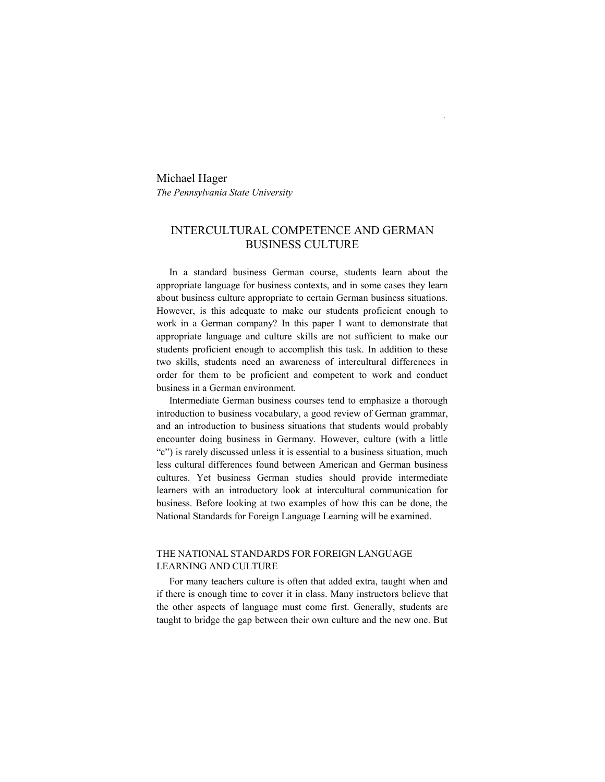Michael Hager *The Pennsylvania State University* 

## INTERCULTURAL COMPETENCE AND GERMAN BUSINESS CULTURE

 In a standard business German course, students learn about the appropriate language for business contexts, and in some cases they learn about business culture appropriate to certain German business situations. However, is this adequate to make our students proficient enough to work in a German company? In this paper I want to demonstrate that appropriate language and culture skills are not sufficient to make our students proficient enough to accomplish this task. In addition to these two skills, students need an awareness of intercultural differences in order for them to be proficient and competent to work and conduct business in a German environment.

 Intermediate German business courses tend to emphasize a thorough introduction to business vocabulary, a good review of German grammar, and an introduction to business situations that students would probably encounter doing business in Germany. However, culture (with a little "c") is rarely discussed unless it is essential to a business situation, much less cultural differences found between American and German business cultures. Yet business German studies should provide intermediate learners with an introductory look at intercultural communication for business. Before looking at two examples of how this can be done, the National Standards for Foreign Language Learning will be examined.

## THE NATIONAL STANDARDS FOR FOREIGN LANGUAGE LEARNING AND CULTURE

 For many teachers culture is often that added extra, taught when and if there is enough time to cover it in class. Many instructors believe that the other aspects of language must come first. Generally, students are taught to bridge the gap between their own culture and the new one. But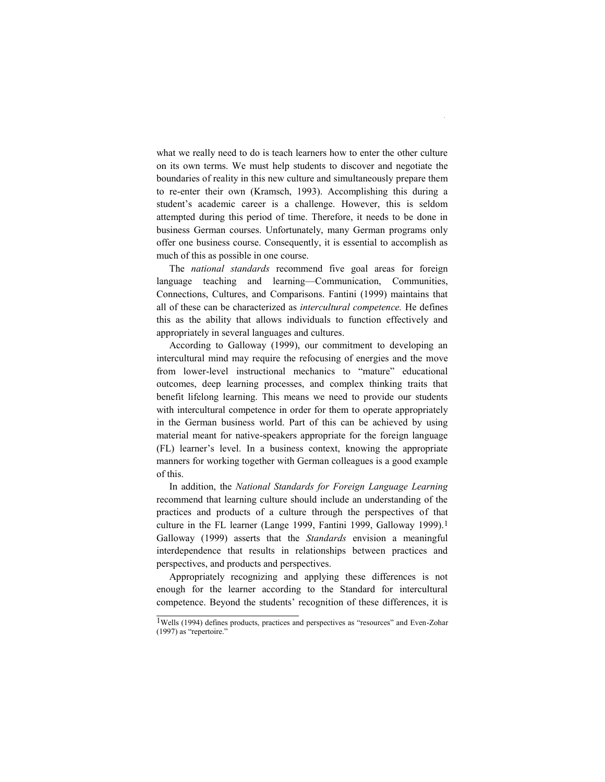what we really need to do is teach learners how to enter the other culture on its own terms. We must help students to discover and negotiate the boundaries of reality in this new culture and simultaneously prepare them to re-enter their own (Kramsch, 1993). Accomplishing this during a student's academic career is a challenge. However, this is seldom attempted during this period of time. Therefore, it needs to be done in business German courses. Unfortunately, many German programs only offer one business course. Consequently, it is essential to accomplish as much of this as possible in one course.

The *national standards* recommend five goal areas for foreign language teaching and learning—Communication, Communities, Connections, Cultures, and Comparisons. Fantini (1999) maintains that all of these can be characterized as *intercultural competence.* He defines this as the ability that allows individuals to function effectively and appropriately in several languages and cultures.

According to Galloway (1999), our commitment to developing an intercultural mind may require the refocusing of energies and the move from lower-level instructional mechanics to "mature" educational outcomes, deep learning processes, and complex thinking traits that benefit lifelong learning. This means we need to provide our students with intercultural competence in order for them to operate appropriately in the German business world. Part of this can be achieved by using material meant for native-speakers appropriate for the foreign language (FL) learner's level. In a business context, knowing the appropriate manners for working together with German colleagues is a good example of this.

In addition, the *National Standards for Foreign Language Learning* recommend that learning culture should include an understanding of the practices and products of a culture through the perspectives of that culture in the FL learner (Lange 1999, Fantini 1999, Galloway 1999).1 Galloway (1999) asserts that the *Standards* envision a meaningful interdependence that results in relationships between practices and perspectives, and products and perspectives.

Appropriately recognizing and applying these differences is not enough for the learner according to the Standard for intercultural competence. Beyond the students' recognition of these differences, it is

 $1$ Wells (1994) defines products, practices and perspectives as "resources" and Even-Zohar  $(1997)$  as "repertoire."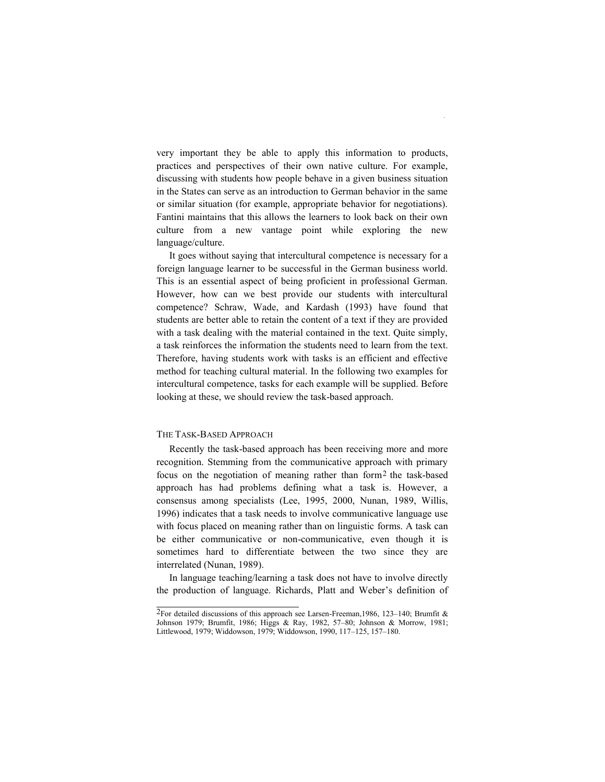very important they be able to apply this information to products, practices and perspectives of their own native culture. For example, discussing with students how people behave in a given business situation in the States can serve as an introduction to German behavior in the same or similar situation (for example, appropriate behavior for negotiations). Fantini maintains that this allows the learners to look back on their own culture from a new vantage point while exploring the new language/culture.

It goes without saying that intercultural competence is necessary for a foreign language learner to be successful in the German business world. This is an essential aspect of being proficient in professional German. However, how can we best provide our students with intercultural competence? Schraw, Wade, and Kardash (1993) have found that students are better able to retain the content of a text if they are provided with a task dealing with the material contained in the text. Quite simply, a task reinforces the information the students need to learn from the text. Therefore, having students work with tasks is an efficient and effective method for teaching cultural material. In the following two examples for intercultural competence, tasks for each example will be supplied. Before looking at these, we should review the task-based approach.

#### THE TASK-BASED APPROACH

Recently the task-based approach has been receiving more and more recognition. Stemming from the communicative approach with primary focus on the negotiation of meaning rather than form2 the task-based approach has had problems defining what a task is. However, a consensus among specialists (Lee, 1995, 2000, Nunan, 1989, Willis, 1996) indicates that a task needs to involve communicative language use with focus placed on meaning rather than on linguistic forms. A task can be either communicative or non-communicative, even though it is sometimes hard to differentiate between the two since they are interrelated (Nunan, 1989).

In language teaching/learning a task does not have to involve directly the production of language. Richards, Platt and Weber's definition of

<sup>2</sup>For detailed discussions of this approach see Larsen-Freeman,1986, 123–140; Brumfit & Johnson 1979; Brumfit, 1986; Higgs & Ray, 1982, 57–80; Johnson & Morrow, 1981; Littlewood, 1979; Widdowson, 1979; Widdowson, 1990, 117–125, 157–180.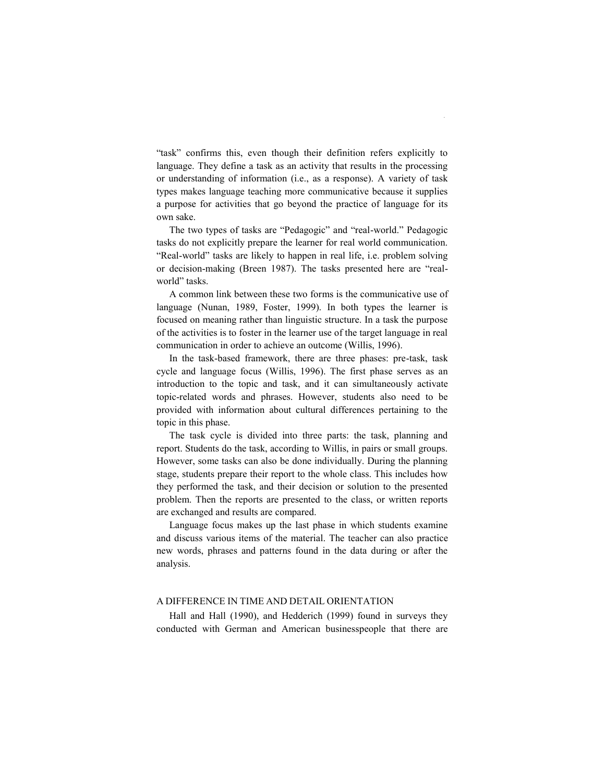―task‖ confirms this, even though their definition refers explicitly to language. They define a task as an activity that results in the processing or understanding of information (i.e., as a response). A variety of task types makes language teaching more communicative because it supplies a purpose for activities that go beyond the practice of language for its own sake.

The two types of tasks are "Pedagogic" and "real-world." Pedagogic tasks do not explicitly prepare the learner for real world communication. "Real-world" tasks are likely to happen in real life, i.e. problem solving or decision-making (Breen 1987). The tasks presented here are "realworld" tasks.

A common link between these two forms is the communicative use of language (Nunan, 1989, Foster, 1999). In both types the learner is focused on meaning rather than linguistic structure. In a task the purpose of the activities is to foster in the learner use of the target language in real communication in order to achieve an outcome (Willis, 1996).

In the task-based framework, there are three phases: pre-task, task cycle and language focus (Willis, 1996). The first phase serves as an introduction to the topic and task, and it can simultaneously activate topic-related words and phrases. However, students also need to be provided with information about cultural differences pertaining to the topic in this phase.

The task cycle is divided into three parts: the task, planning and report. Students do the task, according to Willis, in pairs or small groups. However, some tasks can also be done individually. During the planning stage, students prepare their report to the whole class. This includes how they performed the task, and their decision or solution to the presented problem. Then the reports are presented to the class, or written reports are exchanged and results are compared.

Language focus makes up the last phase in which students examine and discuss various items of the material. The teacher can also practice new words, phrases and patterns found in the data during or after the analysis.

#### A DIFFERENCE IN TIME AND DETAIL ORIENTATION

Hall and Hall (1990), and Hedderich (1999) found in surveys they conducted with German and American businesspeople that there are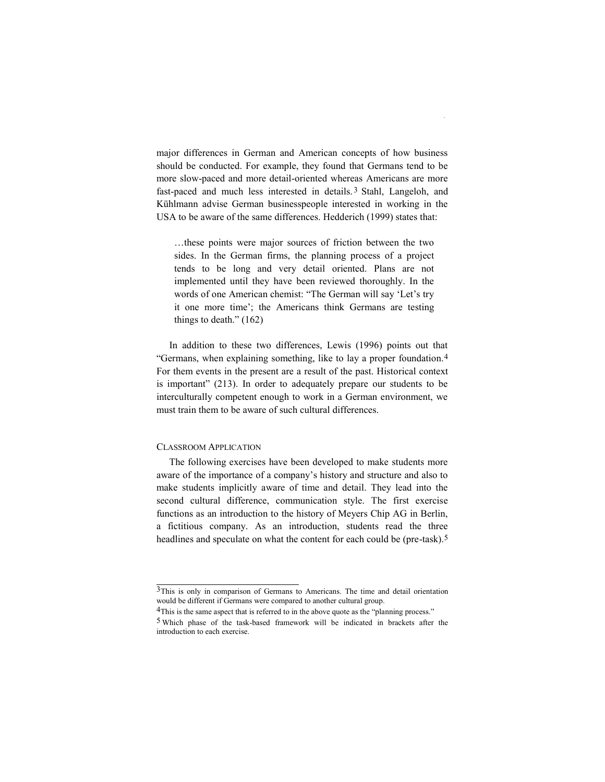major differences in German and American concepts of how business should be conducted. For example, they found that Germans tend to be more slow-paced and more detail-oriented whereas Americans are more fast-paced and much less interested in details. 3 Stahl, Langeloh, and Kühlmann advise German businesspeople interested in working in the USA to be aware of the same differences. Hedderich (1999) states that:

…these points were major sources of friction between the two sides. In the German firms, the planning process of a project tends to be long and very detail oriented. Plans are not implemented until they have been reviewed thoroughly. In the words of one American chemist: "The German will say 'Let's try it one more time'; the Americans think Germans are testing things to death."  $(162)$ 

In addition to these two differences, Lewis (1996) points out that "Germans, when explaining something, like to lay a proper foundation.<sup>4</sup> For them events in the present are a result of the past. Historical context is important" (213). In order to adequately prepare our students to be interculturally competent enough to work in a German environment, we must train them to be aware of such cultural differences.

#### CLASSROOM APPLICATION

The following exercises have been developed to make students more aware of the importance of a company's history and structure and also to make students implicitly aware of time and detail. They lead into the second cultural difference, communication style. The first exercise functions as an introduction to the history of Meyers Chip AG in Berlin, a fictitious company. As an introduction, students read the three headlines and speculate on what the content for each could be (pre-task).<sup>5</sup>

<sup>3</sup>This is only in comparison of Germans to Americans. The time and detail orientation would be different if Germans were compared to another cultural group.

<sup>&</sup>lt;sup>4</sup>This is the same aspect that is referred to in the above quote as the "planning process."

<sup>5</sup> Which phase of the task-based framework will be indicated in brackets after the introduction to each exercise.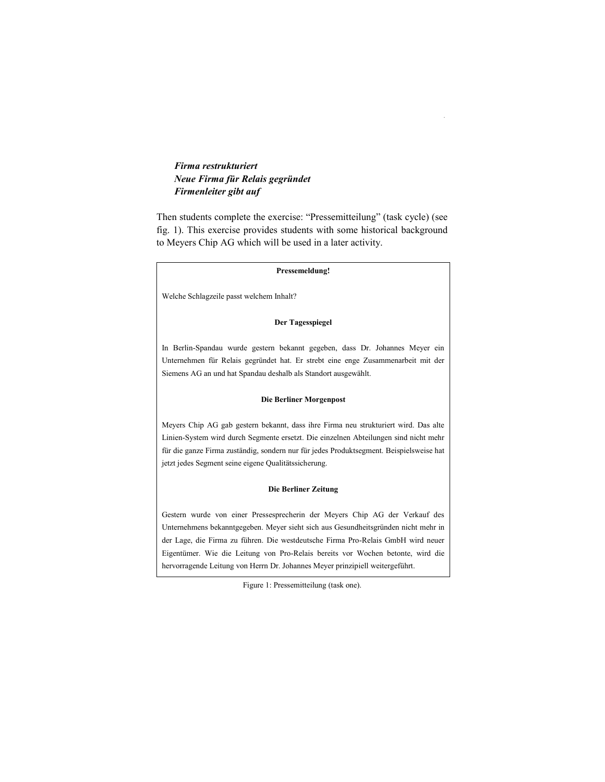## *Firma restrukturiert Neue Firma für Relais gegründet Firmenleiter gibt auf*

Then students complete the exercise: "Pressemitteilung" (task cycle) (see fig. 1). This exercise provides students with some historical background to Meyers Chip AG which will be used in a later activity.

#### **Pressemeldung!**

Welche Schlagzeile passt welchem Inhalt?

#### **Der Tagesspiegel**

In Berlin-Spandau wurde gestern bekannt gegeben, dass Dr. Johannes Meyer ein Unternehmen für Relais gegründet hat. Er strebt eine enge Zusammenarbeit mit der Siemens AG an und hat Spandau deshalb als Standort ausgewählt.

#### **Die Berliner Morgenpost**

Meyers Chip AG gab gestern bekannt, dass ihre Firma neu strukturiert wird. Das alte Linien-System wird durch Segmente ersetzt. Die einzelnen Abteilungen sind nicht mehr für die ganze Firma zuständig, sondern nur für jedes Produktsegment. Beispielsweise hat jetzt jedes Segment seine eigene Qualitätssicherung.

#### **Die Berliner Zeitung**

Gestern wurde von einer Pressesprecherin der Meyers Chip AG der Verkauf des Unternehmens bekanntgegeben. Meyer sieht sich aus Gesundheitsgründen nicht mehr in der Lage, die Firma zu führen. Die westdeutsche Firma Pro-Relais GmbH wird neuer Eigentümer. Wie die Leitung von Pro-Relais bereits vor Wochen betonte, wird die hervorragende Leitung von Herrn Dr. Johannes Meyer prinzipiell weitergeführt.

Figure 1: Pressemitteilung (task one).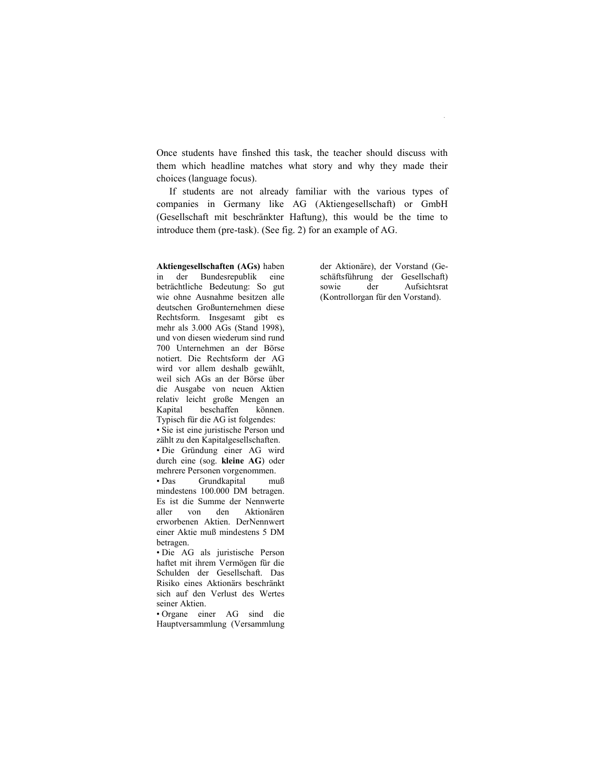Once students have finshed this task, the teacher should discuss with them which headline matches what story and why they made their choices (language focus).

If students are not already familiar with the various types of companies in Germany like AG (Aktiengesellschaft) or GmbH (Gesellschaft mit beschränkter Haftung), this would be the time to introduce them (pre-task). (See fig. 2) for an example of AG.

**Aktiengesellschaften (AGs)** haben in der Bundesrepublik eine beträchtliche Bedeutung: So gut wie ohne Ausnahme besitzen alle deutschen Großunternehmen diese Rechtsform. Insgesamt gibt es mehr als 3.000 AGs (Stand 1998), und von diesen wiederum sind rund 700 Unternehmen an der Börse notiert. Die Rechtsform der AG wird vor allem deshalb gewählt, weil sich AGs an der Börse über die Ausgabe von neuen Aktien relativ leicht große Mengen an Kapital beschaffen können. Typisch für die AG ist folgendes: • Sie ist eine juristische Person und zählt zu den Kapitalgesellschaften. • Die Gründung einer AG wird durch eine (sog. **kleine AG**) oder mehrere Personen vorgenommen. • Das Grundkapital muß mindestens 100.000 DM betragen. Es ist die Summe der Nennwerte aller von den Aktionären erworbenen Aktien. DerNennwert einer Aktie muß mindestens 5 DM betragen. • Die AG als juristische Person haftet mit ihrem Vermögen für die Schulden der Gesellschaft. Das Risiko eines Aktionärs beschränkt

sich auf den Verlust des Wertes seiner Aktien. • Organe einer AG sind die

Hauptversammlung (Versammlung

der Aktionäre), der Vorstand (Geschäftsführung der Gesellschaft) sowie der Aufsichtsrat (Kontrollorgan für den Vorstand).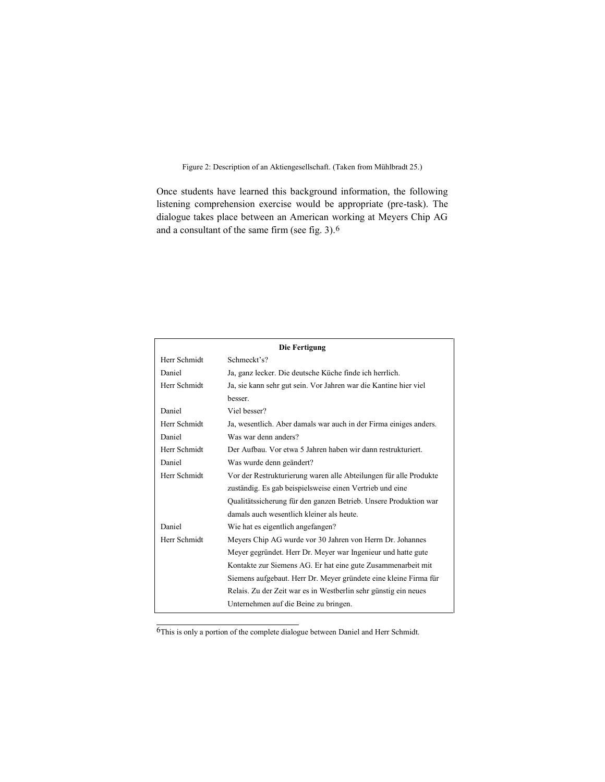Figure 2: Description of an Aktiengesellschaft. (Taken from Mühlbradt 25.)

Once students have learned this background information, the following listening comprehension exercise would be appropriate (pre-task). The dialogue takes place between an American working at Meyers Chip AG and a consultant of the same firm (see fig. 3).6

| <b>Die Fertigung</b> |                                                                   |  |
|----------------------|-------------------------------------------------------------------|--|
| Herr Schmidt         | Schmeckt's?                                                       |  |
| Daniel               | Ja, ganz lecker. Die deutsche Küche finde ich herrlich.           |  |
| Herr Schmidt         | Ja, sie kann sehr gut sein. Vor Jahren war die Kantine hier viel  |  |
|                      | besser.                                                           |  |
| Daniel               | Viel besser?                                                      |  |
| Herr Schmidt         | Ja, wesentlich. Aber damals war auch in der Firma einiges anders. |  |
| Daniel               | Was war denn anders?                                              |  |
| Herr Schmidt         | Der Aufbau. Vor etwa 5 Jahren haben wir dann restrukturiert.      |  |
| Daniel               | Was wurde denn geändert?                                          |  |
| Herr Schmidt         | Vor der Restrukturierung waren alle Abteilungen für alle Produkte |  |
|                      | zuständig. Es gab beispielsweise einen Vertrieb und eine          |  |
|                      | Qualitätssicherung für den ganzen Betrieb. Unsere Produktion war  |  |
|                      | damals auch wesentlich kleiner als heute.                         |  |
| Daniel               | Wie hat es eigentlich angefangen?                                 |  |
| Herr Schmidt         | Meyers Chip AG wurde vor 30 Jahren von Herrn Dr. Johannes         |  |
|                      | Meyer gegründet. Herr Dr. Meyer war Ingenieur und hatte gute      |  |
|                      | Kontakte zur Siemens AG. Er hat eine gute Zusammenarbeit mit      |  |
|                      | Siemens aufgebaut. Herr Dr. Meyer gründete eine kleine Firma für  |  |
|                      | Relais. Zu der Zeit war es in Westberlin sehr günstig ein neues   |  |
|                      | Unternehmen auf die Beine zu bringen.                             |  |

 $\overline{6}$ This is only a portion of the complete dialogue between Daniel and Herr Schmidt.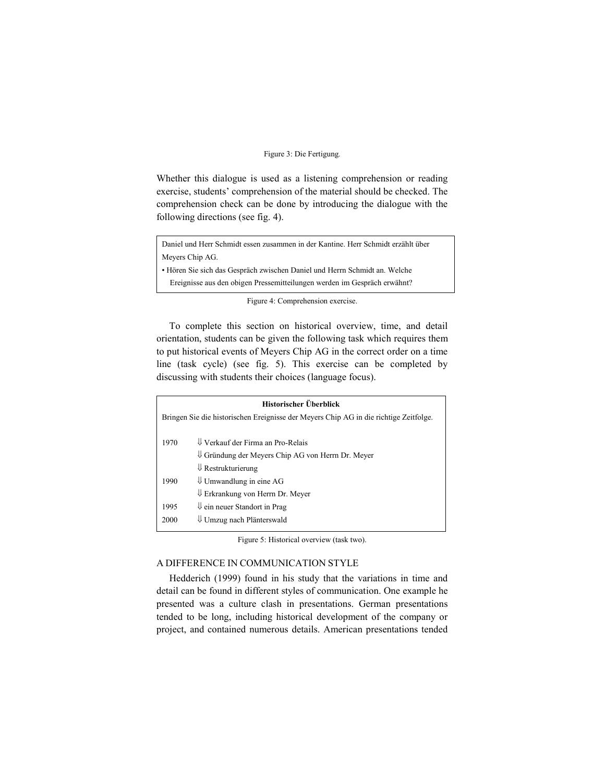#### Figure 3: Die Fertigung*.*

Whether this dialogue is used as a listening comprehension or reading exercise, students' comprehension of the material should be checked. The comprehension check can be done by introducing the dialogue with the following directions (see fig. 4).

Daniel und Herr Schmidt essen zusammen in der Kantine. Herr Schmidt erzählt über Meyers Chip AG.

• Hören Sie sich das Gespräch zwischen Daniel und Herrn Schmidt an. Welche Ereignisse aus den obigen Pressemitteilungen werden im Gespräch erwähnt?

Figure 4: Comprehension exercise.

To complete this section on historical overview, time, and detail orientation, students can be given the following task which requires them to put historical events of Meyers Chip AG in the correct order on a time line (task cycle) (see fig. 5). This exercise can be completed by discussing with students their choices (language focus).

| Historischer Überblick                                                                |                                                              |  |
|---------------------------------------------------------------------------------------|--------------------------------------------------------------|--|
| Bringen Sie die historischen Ereignisse der Meyers Chip AG in die richtige Zeitfolge. |                                                              |  |
|                                                                                       |                                                              |  |
| 1970                                                                                  | $\Downarrow$ Verkauf der Firma an Pro-Relais                 |  |
|                                                                                       | $\downarrow$ Gründung der Meyers Chip AG von Herrn Dr. Meyer |  |
|                                                                                       | $\Downarrow$ Restrukturierung                                |  |
| 1990                                                                                  | $\downarrow$ Umwandlung in eine AG                           |  |
|                                                                                       | $\Downarrow$ Erkrankung von Herrn Dr. Meyer                  |  |
| 1995                                                                                  | $\Downarrow$ ein neuer Standort in Prag                      |  |
| 2000                                                                                  | Umzug nach Plänterswald                                      |  |

Figure 5: Historical overview (task two).

#### A DIFFERENCE IN COMMUNICATION STYLE

Hedderich (1999) found in his study that the variations in time and detail can be found in different styles of communication. One example he presented was a culture clash in presentations. German presentations tended to be long, including historical development of the company or project, and contained numerous details. American presentations tended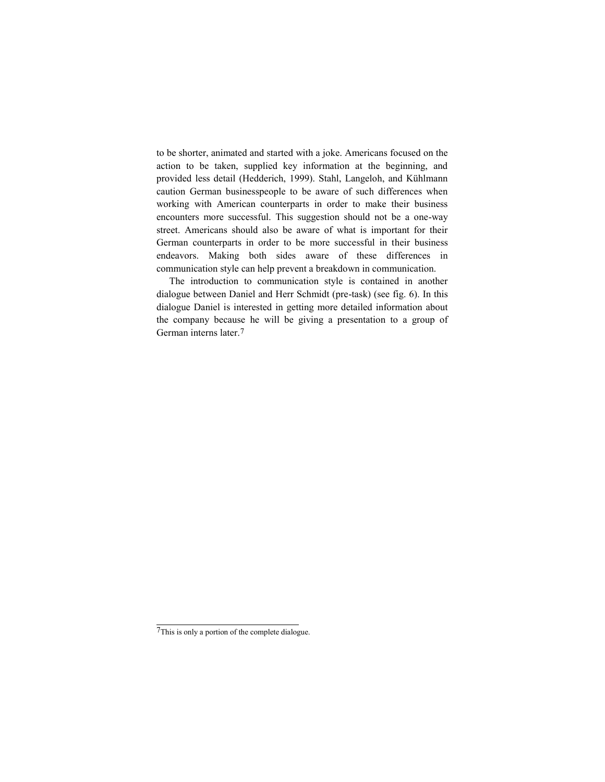to be shorter, animated and started with a joke. Americans focused on the action to be taken, supplied key information at the beginning, and provided less detail (Hedderich, 1999). Stahl, Langeloh, and Kühlmann caution German businesspeople to be aware of such differences when working with American counterparts in order to make their business encounters more successful. This suggestion should not be a one-way street. Americans should also be aware of what is important for their German counterparts in order to be more successful in their business endeavors. Making both sides aware of these differences in communication style can help prevent a breakdown in communication.

The introduction to communication style is contained in another dialogue between Daniel and Herr Schmidt (pre-task) (see fig. 6). In this dialogue Daniel is interested in getting more detailed information about the company because he will be giving a presentation to a group of German interns later.7

<sup>7</sup>This is only a portion of the complete dialogue.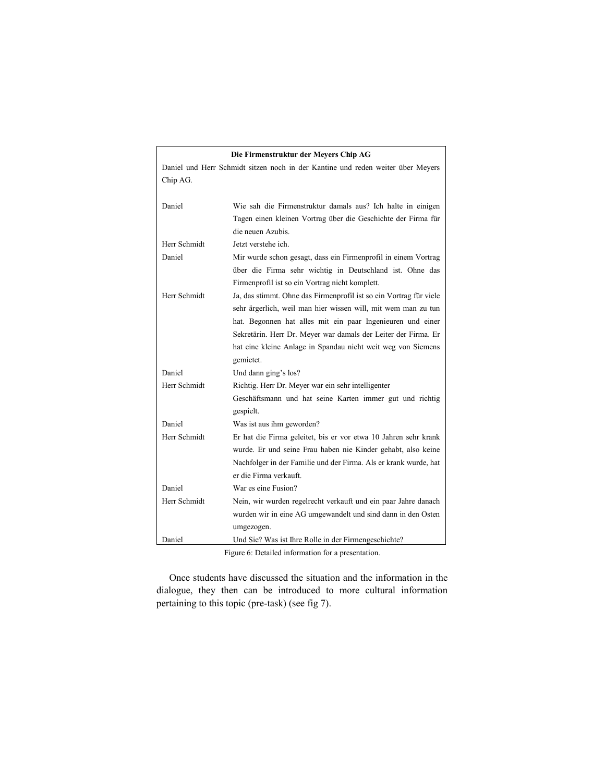## **Die Firmenstruktur der Meyers Chip AG**

Daniel und Herr Schmidt sitzen noch in der Kantine und reden weiter über Meyers Chip AG.

| Daniel       | Wie sah die Firmenstruktur damals aus? Ich halte in einigen        |
|--------------|--------------------------------------------------------------------|
|              | Tagen einen kleinen Vortrag über die Geschichte der Firma für      |
|              | die neuen Azubis.                                                  |
| Herr Schmidt | Jetzt verstehe ich.                                                |
| Daniel       | Mir wurde schon gesagt, dass ein Firmenprofil in einem Vortrag     |
|              | über die Firma sehr wichtig in Deutschland ist. Ohne das           |
|              | Firmenprofil ist so ein Vortrag nicht komplett.                    |
| Herr Schmidt | Ja, das stimmt. Ohne das Firmenprofil ist so ein Vortrag für viele |
|              | sehr ärgerlich, weil man hier wissen will, mit wem man zu tun      |
|              | hat. Begonnen hat alles mit ein paar Ingenieuren und einer         |
|              | Sekretärin. Herr Dr. Meyer war damals der Leiter der Firma. Er     |
|              | hat eine kleine Anlage in Spandau nicht weit weg von Siemens       |
|              | gemietet.                                                          |
| Daniel       | Und dann ging's los?                                               |
| Herr Schmidt | Richtig. Herr Dr. Meyer war ein sehr intelligenter                 |
|              | Geschäftsmann und hat seine Karten immer gut und richtig           |
|              | gespielt.                                                          |
| Daniel       | Was ist aus ihm geworden?                                          |
| Herr Schmidt | Er hat die Firma geleitet, bis er vor etwa 10 Jahren sehr krank    |
|              | wurde. Er und seine Frau haben nie Kinder gehabt, also keine       |
|              | Nachfolger in der Familie und der Firma. Als er krank wurde, hat   |
|              | er die Firma verkauft.                                             |
| Daniel       | War es eine Fusion?                                                |
| Herr Schmidt | Nein, wir wurden regelrecht verkauft und ein paar Jahre danach     |
|              | wurden wir in eine AG umgewandelt und sind dann in den Osten       |
|              | umgezogen.                                                         |
| Daniel       | Und Sie? Was ist Ihre Rolle in der Firmengeschichte?               |

Figure 6: Detailed information for a presentation.

Once students have discussed the situation and the information in the dialogue, they then can be introduced to more cultural information pertaining to this topic (pre-task) (see fig 7).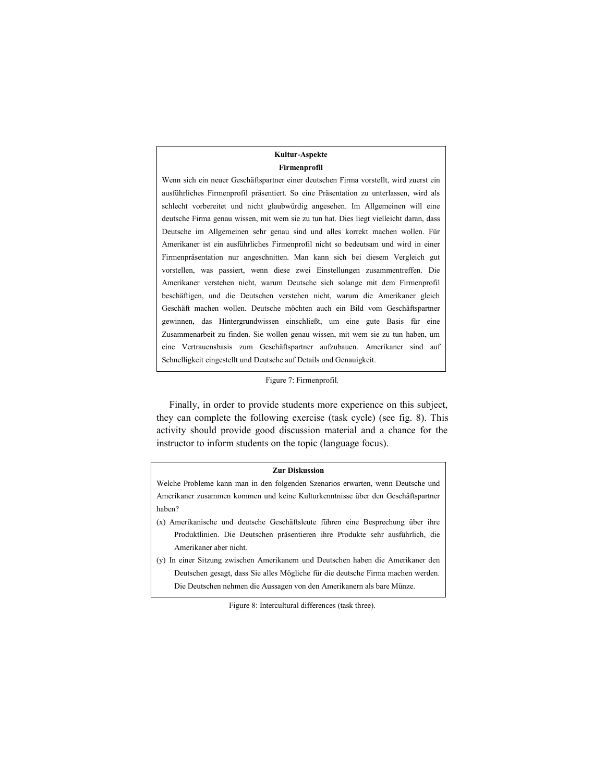#### **Kultur-Aspekte Firmenprofil**

Wenn sich ein neuer Geschäftspartner einer deutschen Firma vorstellt, wird zuerst ein ausführliches Firmenprofil präsentiert. So eine Präsentation zu unterlassen, wird als schlecht vorbereitet und nicht glaubwürdig angesehen. Im Allgemeinen will eine deutsche Firma genau wissen, mit wem sie zu tun hat. Dies liegt vielleicht daran, dass Deutsche im Allgemeinen sehr genau sind und alles korrekt machen wollen. Für Amerikaner ist ein ausführliches Firmenprofil nicht so bedeutsam und wird in einer Firmenpräsentation nur angeschnitten. Man kann sich bei diesem Vergleich gut vorstellen, was passiert, wenn diese zwei Einstellungen zusammentreffen. Die Amerikaner verstehen nicht, warum Deutsche sich solange mit dem Firmenprofil beschäftigen, und die Deutschen verstehen nicht, warum die Amerikaner gleich Geschäft machen wollen. Deutsche möchten auch ein Bild vom Geschäftspartner gewinnen, das Hintergrundwissen einschließt, um eine gute Basis für eine Zusammenarbeit zu finden. Sie wollen genau wissen, mit wem sie zu tun haben, um eine Vertrauensbasis zum Geschäftspartner aufzubauen. Amerikaner sind auf Schnelligkeit eingestellt und Deutsche auf Details und Genauigkeit.

#### Figure 7: Firmenprofil*.*

Finally, in order to provide students more experience on this subject, they can complete the following exercise (task cycle) (see fig. 8). This activity should provide good discussion material and a chance for the instructor to inform students on the topic (language focus).

#### **Zur Diskussion**

Welche Probleme kann man in den folgenden Szenarios erwarten, wenn Deutsche und Amerikaner zusammen kommen und keine Kulturkenntnisse über den Geschäftspartner haben?

- (x) Amerikanische und deutsche Geschäftsleute führen eine Besprechung über ihre Produktlinien. Die Deutschen präsentieren ihre Produkte sehr ausführlich, die Amerikaner aber nicht.
- (y) In einer Sitzung zwischen Amerikanern und Deutschen haben die Amerikaner den Deutschen gesagt, dass Sie alles Mögliche für die deutsche Firma machen werden. Die Deutschen nehmen die Aussagen von den Amerikanern als bare Münze.

Figure 8: Intercultural differences (task three).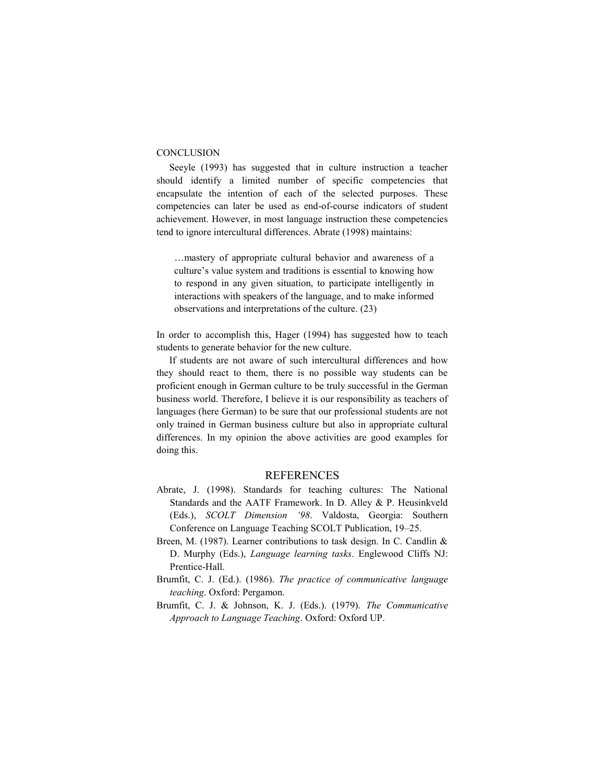#### **CONCLUSION**

Seeyle (1993) has suggested that in culture instruction a teacher should identify a limited number of specific competencies that encapsulate the intention of each of the selected purposes. These competencies can later be used as end-of-course indicators of student achievement. However, in most language instruction these competencies tend to ignore intercultural differences. Abrate (1998) maintains:

…mastery of appropriate cultural behavior and awareness of a culture's value system and traditions is essential to knowing how to respond in any given situation, to participate intelligently in interactions with speakers of the language, and to make informed observations and interpretations of the culture. (23)

In order to accomplish this, Hager (1994) has suggested how to teach students to generate behavior for the new culture.

If students are not aware of such intercultural differences and how they should react to them, there is no possible way students can be proficient enough in German culture to be truly successful in the German business world. Therefore, I believe it is our responsibility as teachers of languages (here German) to be sure that our professional students are not only trained in German business culture but also in appropriate cultural differences. In my opinion the above activities are good examples for doing this.

#### REFERENCES

- Abrate, J. (1998). Standards for teaching cultures: The National Standards and the AATF Framework. In D. Alley & P. Heusinkveld (Eds.), *SCOLT Dimension '98*. Valdosta, Georgia: Southern Conference on Language Teaching SCOLT Publication, 19–25.
- Breen, M. (1987). Learner contributions to task design. In C. Candlin & D. Murphy (Eds.), *Language learning tasks*. Englewood Cliffs NJ: Prentice-Hall.
- Brumfit, C. J. (Ed.). (1986). *The practice of communicative language teaching*. Oxford: Pergamon.
- Brumfit, C. J. & Johnson, K. J. (Eds.). (1979). *The Communicative Approach to Language Teaching*. Oxford: Oxford UP.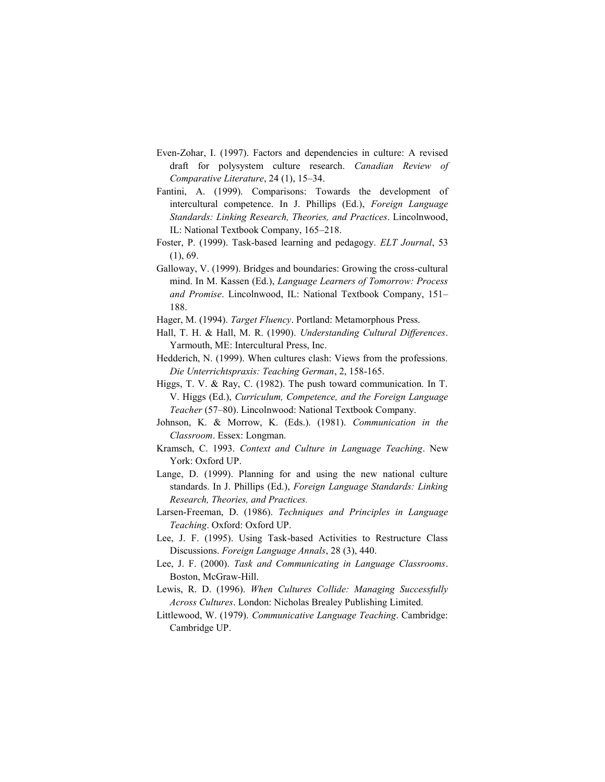- Even-Zohar, I. (1997). Factors and dependencies in culture: A revised draft for polysystem culture research. *Canadian Review of Comparative Literature*, 24 (1), 15–34.
- Fantini, A. (1999). Comparisons: Towards the development of intercultural competence. In J. Phillips (Ed.), *Foreign Language Standards: Linking Research, Theories, and Practices*. Lincolnwood, IL: National Textbook Company, 165–218.
- Foster, P. (1999). Task-based learning and pedagogy. *ELT Journal*, 53 (1), 69.
- Galloway, V. (1999). Bridges and boundaries: Growing the cross-cultural mind. In M. Kassen (Ed.), *Language Learners of Tomorrow: Process and Promise*. Lincolnwood, IL: National Textbook Company, 151– 188.
- Hager, M. (1994). *Target Fluency*. Portland: Metamorphous Press.
- Hall, T. H. & Hall, M. R. (1990). *Understanding Cultural Differences*. Yarmouth, ME: Intercultural Press, Inc.
- Hedderich, N. (1999). When cultures clash: Views from the professions. *Die Unterrichtspraxis: Teaching German*, 2, 158-165.
- Higgs, T. V. & Ray, C. (1982). The push toward communication. In T. V. Higgs (Ed.), *Curriculum, Competence, and the Foreign Language Teacher* (57–80). Lincolnwood: National Textbook Company.
- Johnson, K. & Morrow, K. (Eds.). (1981). *Communication in the Classroom*. Essex: Longman.
- Kramsch, C. 1993. *Context and Culture in Language Teaching*. New York: Oxford UP.
- Lange, D. (1999). Planning for and using the new national culture standards. In J. Phillips (Ed.), *Foreign Language Standards: Linking Research, Theories, and Practices.*
- Larsen-Freeman, D. (1986). *Techniques and Principles in Language Teaching*. Oxford: Oxford UP.
- Lee, J. F. (1995). Using Task-based Activities to Restructure Class Discussions. *Foreign Language Annals*, 28 (3), 440.
- Lee, J. F. (2000). *Task and Communicating in Language Classrooms*. Boston, McGraw-Hill.
- Lewis, R. D. (1996). *When Cultures Collide: Managing Successfully Across Cultures*. London: Nicholas Brealey Publishing Limited.
- Littlewood, W. (1979). *Communicative Language Teaching*. Cambridge: Cambridge UP.